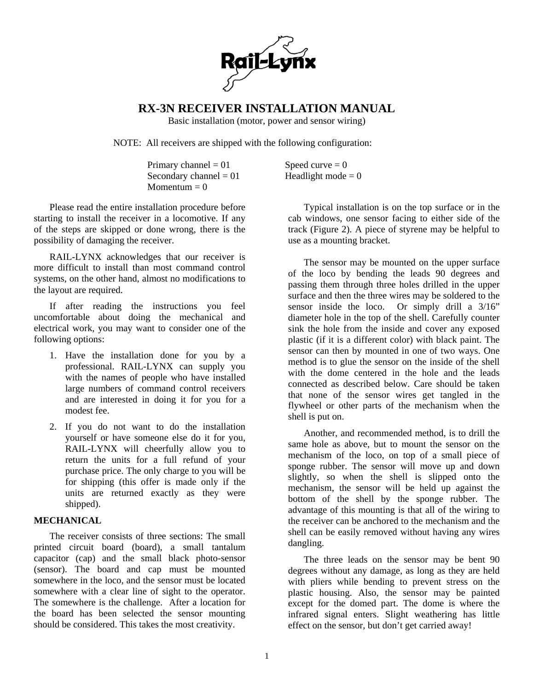

## **RX-3N RECEIVER INSTALLATION MANUAL**

Basic installation (motor, power and sensor wiring)

Speed curve  $= 0$ Headlight mode  $= 0$ 

use as a mounting bracket.

NOTE: All receivers are shipped with the following configuration:

| Primary channel = $01$   |  |
|--------------------------|--|
| Secondary channel = $01$ |  |
| Momentum $= 0$           |  |

Please read the entire installation procedure before starting to install the receiver in a locomotive. If any of the steps are skipped or done wrong, there is the possibility of damaging the receiver.

RAIL-LYNX acknowledges that our receiver is more difficult to install than most command control systems, on the other hand, almost no modifications to the layout are required.

If after reading the instructions you feel uncomfortable about doing the mechanical and electrical work, you may want to consider one of the following options:

- 1. Have the installation done for you by a professional. RAIL-LYNX can supply you with the names of people who have installed large numbers of command control receivers and are interested in doing it for you for a modest fee.
- 2. If you do not want to do the installation yourself or have someone else do it for you, RAIL-LYNX will cheerfully allow you to return the units for a full refund of your purchase price. The only charge to you will be for shipping (this offer is made only if the units are returned exactly as they were shipped).

#### **MECHANICAL**

The receiver consists of three sections: The small printed circuit board (board), a small tantalum capacitor (cap) and the small black photo-sensor (sensor). The board and cap must be mounted somewhere in the loco, and the sensor must be located somewhere with a clear line of sight to the operator. The somewhere is the challenge. After a location for the board has been selected the sensor mounting should be considered. This takes the most creativity.

Typical installation is on the top surface or in the cab windows, one sensor facing to either side of the track (Figure 2). A piece of styrene may be helpful to

The sensor may be mounted on the upper surface of the loco by bending the leads 90 degrees and passing them through three holes drilled in the upper surface and then the three wires may be soldered to the sensor inside the loco. Or simply drill a 3/16" diameter hole in the top of the shell. Carefully counter sink the hole from the inside and cover any exposed plastic (if it is a different color) with black paint. The sensor can then by mounted in one of two ways. One method is to glue the sensor on the inside of the shell with the dome centered in the hole and the leads connected as described below. Care should be taken that none of the sensor wires get tangled in the flywheel or other parts of the mechanism when the shell is put on.

Another, and recommended method, is to drill the same hole as above, but to mount the sensor on the mechanism of the loco, on top of a small piece of sponge rubber. The sensor will move up and down slightly, so when the shell is slipped onto the mechanism, the sensor will be held up against the bottom of the shell by the sponge rubber. The advantage of this mounting is that all of the wiring to the receiver can be anchored to the mechanism and the shell can be easily removed without having any wires dangling.

The three leads on the sensor may be bent 90 degrees without any damage, as long as they are held with pliers while bending to prevent stress on the plastic housing. Also, the sensor may be painted except for the domed part. The dome is where the infrared signal enters. Slight weathering has little effect on the sensor, but don't get carried away!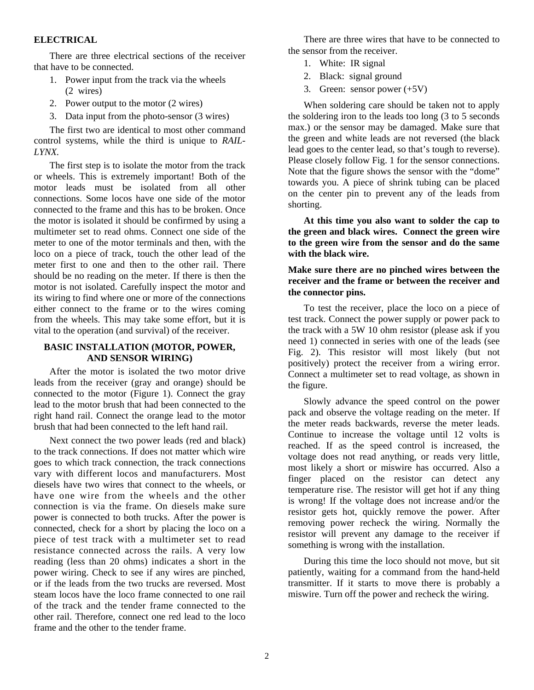#### **ELECTRICAL**

There are three electrical sections of the receiver that have to be connected.

- 1. Power input from the track via the wheels (2 wires)
- 2. Power output to the motor (2 wires)
- 3. Data input from the photo-sensor (3 wires)

The first two are identical to most other command control systems, while the third is unique to *RAIL-LYNX.* 

The first step is to isolate the motor from the track or wheels. This is extremely important! Both of the motor leads must be isolated from all other connections. Some locos have one side of the motor connected to the frame and this has to be broken. Once the motor is isolated it should be confirmed by using a multimeter set to read ohms. Connect one side of the meter to one of the motor terminals and then, with the loco on a piece of track, touch the other lead of the meter first to one and then to the other rail. There should be no reading on the meter. If there is then the motor is not isolated. Carefully inspect the motor and its wiring to find where one or more of the connections either connect to the frame or to the wires coming from the wheels. This may take some effort, but it is vital to the operation (and survival) of the receiver.

#### **BASIC INSTALLATION (MOTOR, POWER, AND SENSOR WIRING)**

After the motor is isolated the two motor drive leads from the receiver (gray and orange) should be connected to the motor (Figure 1). Connect the gray lead to the motor brush that had been connected to the right hand rail. Connect the orange lead to the motor brush that had been connected to the left hand rail.

Next connect the two power leads (red and black) to the track connections. If does not matter which wire goes to which track connection, the track connections vary with different locos and manufacturers. Most diesels have two wires that connect to the wheels, or have one wire from the wheels and the other connection is via the frame. On diesels make sure power is connected to both trucks. After the power is connected, check for a short by placing the loco on a piece of test track with a multimeter set to read resistance connected across the rails. A very low reading (less than 20 ohms) indicates a short in the power wiring. Check to see if any wires are pinched, or if the leads from the two trucks are reversed. Most steam locos have the loco frame connected to one rail of the track and the tender frame connected to the other rail. Therefore, connect one red lead to the loco frame and the other to the tender frame.

There are three wires that have to be connected to the sensor from the receiver.

- 1. White: IR signal
- 2. Black: signal ground
- 3. Green: sensor power (+5V)

When soldering care should be taken not to apply the soldering iron to the leads too long (3 to 5 seconds max.) or the sensor may be damaged. Make sure that the green and white leads are not reversed (the black lead goes to the center lead, so that's tough to reverse). Please closely follow Fig. 1 for the sensor connections. Note that the figure shows the sensor with the "dome" towards you. A piece of shrink tubing can be placed on the center pin to prevent any of the leads from shorting.

**At this time you also want to solder the cap to the green and black wires. Connect the green wire to the green wire from the sensor and do the same with the black wire.** 

#### **Make sure there are no pinched wires between the receiver and the frame or between the receiver and the connector pins.**

To test the receiver, place the loco on a piece of test track. Connect the power supply or power pack to the track with a 5W 10 ohm resistor (please ask if you need 1) connected in series with one of the leads (see Fig. 2). This resistor will most likely (but not positively) protect the receiver from a wiring error. Connect a multimeter set to read voltage, as shown in the figure.

Slowly advance the speed control on the power pack and observe the voltage reading on the meter. If the meter reads backwards, reverse the meter leads. Continue to increase the voltage until 12 volts is reached. If as the speed control is increased, the voltage does not read anything, or reads very little, most likely a short or miswire has occurred. Also a finger placed on the resistor can detect any temperature rise. The resistor will get hot if any thing is wrong! If the voltage does not increase and/or the resistor gets hot, quickly remove the power. After removing power recheck the wiring. Normally the resistor will prevent any damage to the receiver if something is wrong with the installation.

During this time the loco should not move, but sit patiently, waiting for a command from the hand-held transmitter. If it starts to move there is probably a miswire. Turn off the power and recheck the wiring.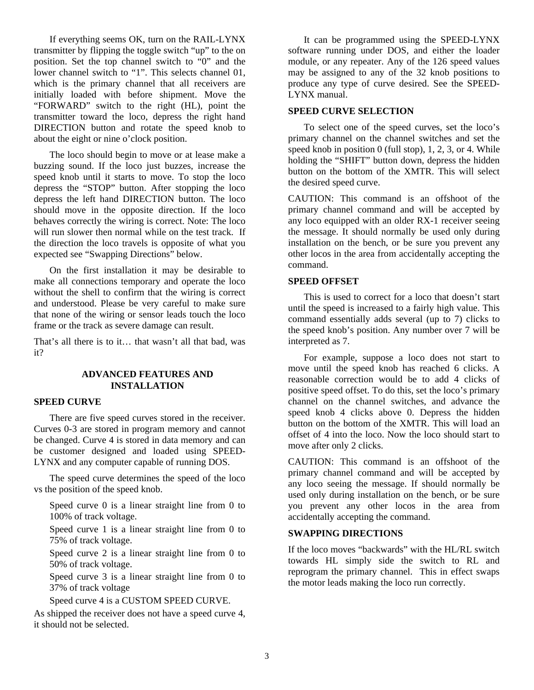If everything seems OK, turn on the RAIL-LYNX transmitter by flipping the toggle switch "up" to the on position. Set the top channel switch to "0" and the lower channel switch to "1". This selects channel 01, which is the primary channel that all receivers are initially loaded with before shipment. Move the "FORWARD" switch to the right (HL), point the transmitter toward the loco, depress the right hand DIRECTION button and rotate the speed knob to about the eight or nine o'clock position.

The loco should begin to move or at lease make a buzzing sound. If the loco just buzzes, increase the speed knob until it starts to move. To stop the loco depress the "STOP" button. After stopping the loco depress the left hand DIRECTION button. The loco should move in the opposite direction. If the loco behaves correctly the wiring is correct. Note: The loco will run slower then normal while on the test track. If the direction the loco travels is opposite of what you expected see "Swapping Directions" below.

On the first installation it may be desirable to make all connections temporary and operate the loco without the shell to confirm that the wiring is correct and understood. Please be very careful to make sure that none of the wiring or sensor leads touch the loco frame or the track as severe damage can result.

That's all there is to it… that wasn't all that bad, was it?

### **ADVANCED FEATURES AND INSTALLATION**

#### **SPEED CURVE**

There are five speed curves stored in the receiver. Curves 0-3 are stored in program memory and cannot be changed. Curve 4 is stored in data memory and can be customer designed and loaded using SPEED-LYNX and any computer capable of running DOS.

The speed curve determines the speed of the loco vs the position of the speed knob.

Speed curve 0 is a linear straight line from 0 to 100% of track voltage.

Speed curve 1 is a linear straight line from 0 to 75% of track voltage.

Speed curve 2 is a linear straight line from 0 to 50% of track voltage.

Speed curve 3 is a linear straight line from 0 to 37% of track voltage

Speed curve 4 is a CUSTOM SPEED CURVE.

As shipped the receiver does not have a speed curve 4, it should not be selected.

It can be programmed using the SPEED-LYNX software running under DOS, and either the loader module, or any repeater. Any of the 126 speed values may be assigned to any of the 32 knob positions to produce any type of curve desired. See the SPEED-LYNX manual.

#### **SPEED CURVE SELECTION**

To select one of the speed curves, set the loco's primary channel on the channel switches and set the speed knob in position 0 (full stop), 1, 2, 3, or 4. While holding the "SHIFT" button down, depress the hidden button on the bottom of the XMTR. This will select the desired speed curve.

CAUTION: This command is an offshoot of the primary channel command and will be accepted by any loco equipped with an older RX-1 receiver seeing the message. It should normally be used only during installation on the bench, or be sure you prevent any other locos in the area from accidentally accepting the command.

#### **SPEED OFFSET**

This is used to correct for a loco that doesn't start until the speed is increased to a fairly high value. This command essentially adds several (up to 7) clicks to the speed knob's position. Any number over 7 will be interpreted as 7.

For example, suppose a loco does not start to move until the speed knob has reached 6 clicks. A reasonable correction would be to add 4 clicks of positive speed offset. To do this, set the loco's primary channel on the channel switches, and advance the speed knob 4 clicks above 0. Depress the hidden button on the bottom of the XMTR. This will load an offset of 4 into the loco. Now the loco should start to move after only 2 clicks.

CAUTION: This command is an offshoot of the primary channel command and will be accepted by any loco seeing the message. If should normally be used only during installation on the bench, or be sure you prevent any other locos in the area from accidentally accepting the command.

#### **SWAPPING DIRECTIONS**

If the loco moves "backwards" with the HL/RL switch towards HL simply side the switch to RL and reprogram the primary channel. This in effect swaps the motor leads making the loco run correctly.